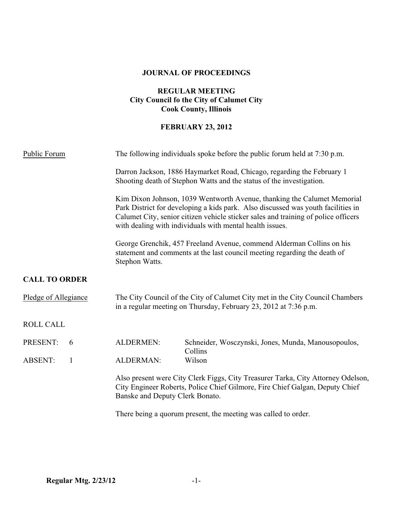### **JOURNAL OF PROCEEDINGS**

## **REGULAR MEETING City Council fo the City of Calumet City Cook County, Illinois**

## **FEBRUARY 23, 2012**

| Public Forum                   |                                 | The following individuals spoke before the public forum held at 7:30 p.m.                                                                                                                                                                                                                                     |  |  |
|--------------------------------|---------------------------------|---------------------------------------------------------------------------------------------------------------------------------------------------------------------------------------------------------------------------------------------------------------------------------------------------------------|--|--|
|                                |                                 | Darron Jackson, 1886 Haymarket Road, Chicago, regarding the February 1<br>Shooting death of Stephon Watts and the status of the investigation.                                                                                                                                                                |  |  |
|                                |                                 | Kim Dixon Johnson, 1039 Wentworth Avenue, thanking the Calumet Memorial<br>Park District for developing a kids park. Also discussed was youth facilities in<br>Calumet City, senior citizen vehicle sticker sales and training of police officers<br>with dealing with individuals with mental health issues. |  |  |
|                                | Stephon Watts.                  | George Grenchik, 457 Freeland Avenue, commend Alderman Collins on his<br>statement and comments at the last council meeting regarding the death of                                                                                                                                                            |  |  |
| <b>CALL TO ORDER</b>           |                                 |                                                                                                                                                                                                                                                                                                               |  |  |
| Pledge of Allegiance           |                                 | The City Council of the City of Calumet City met in the City Council Chambers<br>in a regular meeting on Thursday, February 23, 2012 at 7:36 p.m.                                                                                                                                                             |  |  |
| <b>ROLL CALL</b>               |                                 |                                                                                                                                                                                                                                                                                                               |  |  |
| PRESENT:<br>6                  | <b>ALDERMEN:</b>                | Schneider, Wosczynski, Jones, Munda, Manousopoulos,<br>Collins                                                                                                                                                                                                                                                |  |  |
| <b>ABSENT:</b><br>$\mathbf{1}$ | ALDERMAN:                       | Wilson                                                                                                                                                                                                                                                                                                        |  |  |
|                                | Banske and Deputy Clerk Bonato. | Also present were City Clerk Figgs, City Treasurer Tarka, City Attorney Odelson,<br>City Engineer Roberts, Police Chief Gilmore, Fire Chief Galgan, Deputy Chief                                                                                                                                              |  |  |
|                                |                                 | There being a quorum present, the meeting was called to order.                                                                                                                                                                                                                                                |  |  |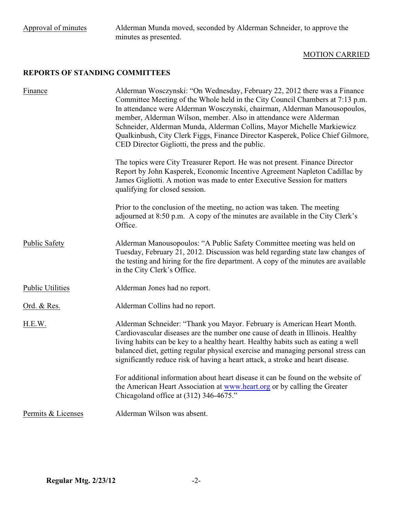## MOTION CARRIED

# **REPORTS OF STANDING COMMITTEES**

| Finance                 | Alderman Wosczynski: "On Wednesday, February 22, 2012 there was a Finance<br>Committee Meeting of the Whole held in the City Council Chambers at 7:13 p.m.<br>In attendance were Alderman Wosczynski, chairman, Alderman Manousopoulos,<br>member, Alderman Wilson, member. Also in attendance were Alderman<br>Schneider, Alderman Munda, Alderman Collins, Mayor Michelle Markiewicz<br>Qualkinbush, City Clerk Figgs, Finance Director Kasperek, Police Chief Gilmore,<br>CED Director Gigliotti, the press and the public. |
|-------------------------|--------------------------------------------------------------------------------------------------------------------------------------------------------------------------------------------------------------------------------------------------------------------------------------------------------------------------------------------------------------------------------------------------------------------------------------------------------------------------------------------------------------------------------|
|                         | The topics were City Treasurer Report. He was not present. Finance Director<br>Report by John Kasperek, Economic Incentive Agreement Napleton Cadillac by<br>James Gigliotti. A motion was made to enter Executive Session for matters<br>qualifying for closed session.                                                                                                                                                                                                                                                       |
|                         | Prior to the conclusion of the meeting, no action was taken. The meeting<br>adjourned at 8:50 p.m. A copy of the minutes are available in the City Clerk's<br>Office.                                                                                                                                                                                                                                                                                                                                                          |
| <b>Public Safety</b>    | Alderman Manousopoulos: "A Public Safety Committee meeting was held on<br>Tuesday, February 21, 2012. Discussion was held regarding state law changes of<br>the testing and hiring for the fire department. A copy of the minutes are available<br>in the City Clerk's Office.                                                                                                                                                                                                                                                 |
| <b>Public Utilities</b> | Alderman Jones had no report.                                                                                                                                                                                                                                                                                                                                                                                                                                                                                                  |
| Ord. & Res.             | Alderman Collins had no report.                                                                                                                                                                                                                                                                                                                                                                                                                                                                                                |
| H.E.W.                  | Alderman Schneider: "Thank you Mayor. February is American Heart Month.<br>Cardiovascular diseases are the number one cause of death in Illinois. Healthy<br>living habits can be key to a healthy heart. Healthy habits such as eating a well<br>balanced diet, getting regular physical exercise and managing personal stress can<br>significantly reduce risk of having a heart attack, a stroke and heart disease.                                                                                                         |
|                         | For additional information about heart disease it can be found on the website of<br>the American Heart Association at www.heart.org or by calling the Greater<br>Chicagoland office at (312) 346-4675."                                                                                                                                                                                                                                                                                                                        |
| Permits & Licenses      | Alderman Wilson was absent.                                                                                                                                                                                                                                                                                                                                                                                                                                                                                                    |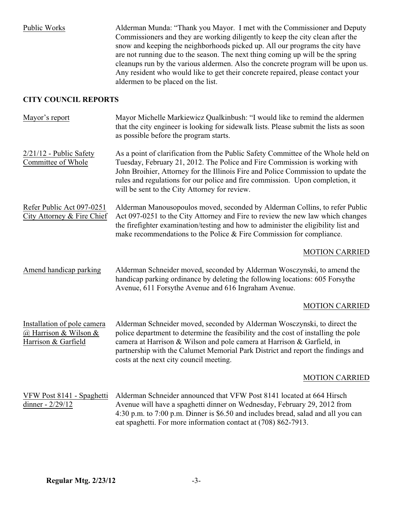Public Works Alderman Munda: "Thank you Mayor. I met with the Commissioner and Deputy Commissioners and they are working diligently to keep the city clean after the snow and keeping the neighborhoods picked up. All our programs the city have are not running due to the season. The next thing coming up will be the spring cleanups run by the various aldermen. Also the concrete program will be upon us. Any resident who would like to get their concrete repaired, please contact your aldermen to be placed on the list.

### **CITY COUNCIL REPORTS**

| Mayor's report                                                              | Mayor Michelle Markiewicz Qualkinbush: "I would like to remind the aldermen<br>that the city engineer is looking for sidewalk lists. Please submit the lists as soon<br>as possible before the program starts.                                                                                                                                                                         |
|-----------------------------------------------------------------------------|----------------------------------------------------------------------------------------------------------------------------------------------------------------------------------------------------------------------------------------------------------------------------------------------------------------------------------------------------------------------------------------|
| $2/21/12$ - Public Safety<br>Committee of Whole                             | As a point of clarification from the Public Safety Committee of the Whole held on<br>Tuesday, February 21, 2012. The Police and Fire Commission is working with<br>John Broihier, Attorney for the Illinois Fire and Police Commission to update the<br>rules and regulations for our police and fire commission. Upon completion, it<br>will be sent to the City Attorney for review. |
| Refer Public Act 097-0251<br>City Attorney & Fire Chief                     | Alderman Manousopoulos moved, seconded by Alderman Collins, to refer Public<br>Act 097-0251 to the City Attorney and Fire to review the new law which changes<br>the firefighter examination/testing and how to administer the eligibility list and<br>make recommendations to the Police & Fire Commission for compliance.                                                            |
|                                                                             | <b>MOTION CARRIED</b>                                                                                                                                                                                                                                                                                                                                                                  |
| Amend handicap parking                                                      | Alderman Schneider moved, seconded by Alderman Wosczynski, to amend the<br>handicap parking ordinance by deleting the following locations: 605 Forsythe<br>Avenue, 611 Forsythe Avenue and 616 Ingraham Avenue.                                                                                                                                                                        |
|                                                                             | <b>MOTION CARRIED</b>                                                                                                                                                                                                                                                                                                                                                                  |
| Installation of pole camera<br>@ Harrison & Wilson &<br>Harrison & Garfield | Alderman Schneider moved, seconded by Alderman Wosczynski, to direct the<br>police department to determine the feasibility and the cost of installing the pole<br>camera at Harrison & Wilson and pole camera at Harrison & Garfield, in<br>partnership with the Calumet Memorial Park District and report the findings and<br>costs at the next city council meeting.                 |
|                                                                             | <b>MOTION CARRIED</b>                                                                                                                                                                                                                                                                                                                                                                  |
| VFW Post 8141 - Spaghetti<br>dinner - 2/29/12                               | Alderman Schneider announced that VFW Post 8141 located at 664 Hirsch<br>Avenue will have a spaghetti dinner on Wednesday, February 29, 2012 from<br>4:30 p.m. to 7:00 p.m. Dinner is \$6.50 and includes bread, salad and all you can<br>eat spaghetti. For more information contact at (708) 862-7913.                                                                               |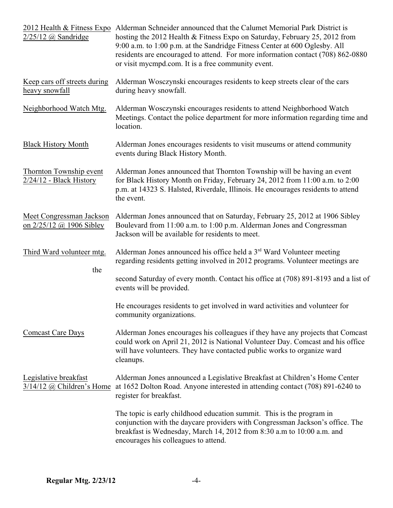| $2/25/12$ (a) Sandridge                                     | 2012 Health & Fitness Expo Alderman Schneider announced that the Calumet Memorial Park District is<br>hosting the 2012 Health & Fitness Expo on Saturday, February 25, 2012 from<br>9:00 a.m. to 1:00 p.m. at the Sandridge Fitness Center at 600 Oglesby. All<br>residents are encouraged to attend. For more information contact (708) 862-0880<br>or visit mycmpd.com. It is a free community event. |  |
|-------------------------------------------------------------|---------------------------------------------------------------------------------------------------------------------------------------------------------------------------------------------------------------------------------------------------------------------------------------------------------------------------------------------------------------------------------------------------------|--|
| Keep cars off streets during<br>heavy snowfall              | Alderman Wosczynski encourages residents to keep streets clear of the cars<br>during heavy snowfall.                                                                                                                                                                                                                                                                                                    |  |
| Neighborhood Watch Mtg.                                     | Alderman Wosczynski encourages residents to attend Neighborhood Watch<br>Meetings. Contact the police department for more information regarding time and<br>location.                                                                                                                                                                                                                                   |  |
| <b>Black History Month</b>                                  | Alderman Jones encourages residents to visit museums or attend community<br>events during Black History Month.                                                                                                                                                                                                                                                                                          |  |
| <b>Thornton Township event</b><br>$2/24/12$ - Black History | Alderman Jones announced that Thornton Township will be having an event<br>for Black History Month on Friday, February 24, 2012 from 11:00 a.m. to 2:00<br>p.m. at 14323 S. Halsted, Riverdale, Illinois. He encourages residents to attend<br>the event.                                                                                                                                               |  |
| Meet Congressman Jackson<br>on 2/25/12 @ 1906 Sibley        | Alderman Jones announced that on Saturday, February 25, 2012 at 1906 Sibley<br>Boulevard from 11:00 a.m. to 1:00 p.m. Alderman Jones and Congressman<br>Jackson will be available for residents to meet.                                                                                                                                                                                                |  |
| Third Ward volunteer mtg.                                   | Alderman Jones announced his office held a 3 <sup>rd</sup> Ward Volunteer meeting<br>regarding residents getting involved in 2012 programs. Volunteer meetings are                                                                                                                                                                                                                                      |  |
| the                                                         | second Saturday of every month. Contact his office at (708) 891-8193 and a list of<br>events will be provided.                                                                                                                                                                                                                                                                                          |  |
|                                                             | He encourages residents to get involved in ward activities and volunteer for<br>community organizations.                                                                                                                                                                                                                                                                                                |  |
| <b>Comcast Care Days</b>                                    | Alderman Jones encourages his colleagues if they have any projects that Comcast<br>could work on April 21, 2012 is National Volunteer Day. Comcast and his office<br>will have volunteers. They have contacted public works to organize ward<br>cleanups.                                                                                                                                               |  |
| Legislative breakfast<br>3/14/12 @ Children's Home          | Alderman Jones announced a Legislative Breakfast at Children's Home Center<br>at 1652 Dolton Road. Anyone interested in attending contact (708) 891-6240 to<br>register for breakfast.                                                                                                                                                                                                                  |  |
|                                                             | The topic is early childhood education summit. This is the program in<br>conjunction with the daycare providers with Congressman Jackson's office. The<br>breakfast is Wednesday, March 14, 2012 from 8:30 a.m to 10:00 a.m. and<br>encourages his colleagues to attend.                                                                                                                                |  |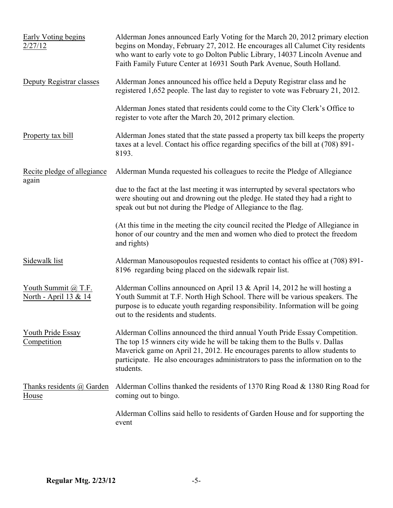| Early Voting begins<br>2/27/12               | Alderman Jones announced Early Voting for the March 20, 2012 primary election<br>begins on Monday, February 27, 2012. He encourages all Calumet City residents<br>who want to early vote to go Dolton Public Library, 14037 Lincoln Avenue and<br>Faith Family Future Center at 16931 South Park Avenue, South Holland.                  |
|----------------------------------------------|------------------------------------------------------------------------------------------------------------------------------------------------------------------------------------------------------------------------------------------------------------------------------------------------------------------------------------------|
| Deputy Registrar classes                     | Alderman Jones announced his office held a Deputy Registrar class and he<br>registered 1,652 people. The last day to register to vote was February 21, 2012.                                                                                                                                                                             |
|                                              | Alderman Jones stated that residents could come to the City Clerk's Office to<br>register to vote after the March 20, 2012 primary election.                                                                                                                                                                                             |
| Property tax bill                            | Alderman Jones stated that the state passed a property tax bill keeps the property<br>taxes at a level. Contact his office regarding specifics of the bill at (708) 891-<br>8193.                                                                                                                                                        |
| Recite pledge of allegiance                  | Alderman Munda requested his colleagues to recite the Pledge of Allegiance                                                                                                                                                                                                                                                               |
| again                                        | due to the fact at the last meeting it was interrupted by several spectators who<br>were shouting out and drowning out the pledge. He stated they had a right to<br>speak out but not during the Pledge of Allegiance to the flag.                                                                                                       |
|                                              | (At this time in the meeting the city council recited the Pledge of Allegiance in<br>honor of our country and the men and women who died to protect the freedom<br>and rights)                                                                                                                                                           |
| Sidewalk list                                | Alderman Manousopoulos requested residents to contact his office at (708) 891-<br>8196 regarding being placed on the sidewalk repair list.                                                                                                                                                                                               |
| Youth Summit @ T.F.<br>North - April 13 & 14 | Alderman Collins announced on April 13 & April 14, 2012 he will hosting a<br>Youth Summit at T.F. North High School. There will be various speakers. The<br>purpose is to educate youth regarding responsibility. Information will be going<br>out to the residents and students.                                                        |
| <b>Youth Pride Essay</b><br>Competition      | Alderman Collins announced the third annual Youth Pride Essay Competition.<br>The top 15 winners city wide he will be taking them to the Bulls v. Dallas<br>Maverick game on April 21, 2012. He encourages parents to allow students to<br>participate. He also encourages administrators to pass the information on to the<br>students. |
| Thanks residents @ Garden<br>House           | Alderman Collins thanked the residents of 1370 Ring Road & 1380 Ring Road for<br>coming out to bingo.                                                                                                                                                                                                                                    |
|                                              | Alderman Collins said hello to residents of Garden House and for supporting the<br>event                                                                                                                                                                                                                                                 |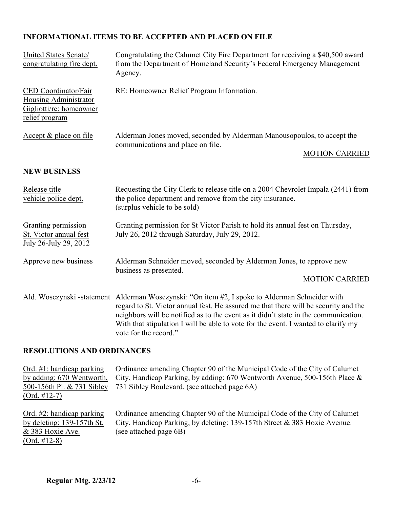### **INFORMATIONAL ITEMS TO BE ACCEPTED AND PLACED ON FILE**

| United States Senate/<br>congratulating fire dept.                                         | Congratulating the Calumet City Fire Department for receiving a \$40,500 award<br>from the Department of Homeland Security's Federal Emergency Management<br>Agency.                                                                                                                                                                                              |
|--------------------------------------------------------------------------------------------|-------------------------------------------------------------------------------------------------------------------------------------------------------------------------------------------------------------------------------------------------------------------------------------------------------------------------------------------------------------------|
| CED Coordinator/Fair<br>Housing Administrator<br>Gigliotti/re: homeowner<br>relief program | RE: Homeowner Relief Program Information.                                                                                                                                                                                                                                                                                                                         |
| Accept & place on file                                                                     | Alderman Jones moved, seconded by Alderman Manousopoulos, to accept the<br>communications and place on file.<br><b>MOTION CARRIED</b>                                                                                                                                                                                                                             |
| <b>NEW BUSINESS</b>                                                                        |                                                                                                                                                                                                                                                                                                                                                                   |
| Release title<br>vehicle police dept.                                                      | Requesting the City Clerk to release title on a 2004 Chevrolet Impala (2441) from<br>the police department and remove from the city insurance.<br>(surplus vehicle to be sold)                                                                                                                                                                                    |
| Granting permission<br>St. Victor annual fest<br>July 26-July 29, 2012                     | Granting permission for St Victor Parish to hold its annual fest on Thursday,<br>July 26, 2012 through Saturday, July 29, 2012.                                                                                                                                                                                                                                   |
| Approve new business                                                                       | Alderman Schneider moved, seconded by Alderman Jones, to approve new<br>business as presented.<br><b>MOTION CARRIED</b>                                                                                                                                                                                                                                           |
| Ald. Wosczynski -statement                                                                 | Alderman Wosczynski: "On item #2, I spoke to Alderman Schneider with<br>regard to St. Victor annual fest. He assured me that there will be security and the<br>neighbors will be notified as to the event as it didn't state in the communication.<br>With that stipulation I will be able to vote for the event. I wanted to clarify my<br>vote for the record." |

#### **RESOLUTIONS AND ORDINANCES**

Ord. #1: handicap parking Ordinance amending Chapter 90 of the Municipal Code of the City of Calumet by adding: 670 Wentworth, City, Handicap Parking, by adding: 670 Wentworth Avenue, 500-156th Place & 500-156th Pl. & 731 Sibley 731 Sibley Boulevard. (see attached page 6A) 731 Sibley Boulevard. (see attached page 6A) (Ord. #12-7) Ord. #2: handicap parking Ordinance amending Chapter 90 of the Municipal Code of the City of Calumet by deleting: 139-157th St. City, Handicap Parking, by deleting: 139-157th Street & 383 Hoxie Avenue.

& 383 Hoxie Ave. (see attached page 6B)

(Ord. #12-8)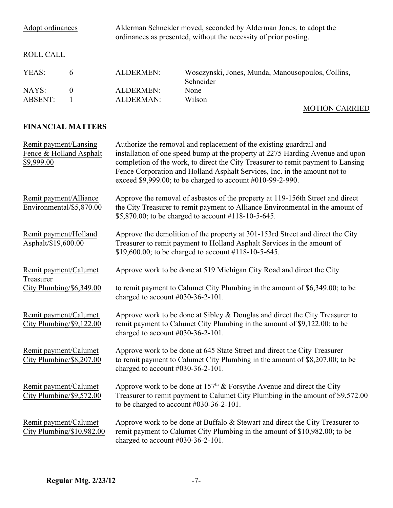| Adopt ordinances |   |           | Alderman Schneider moved, seconded by Alderman Jones, to adopt the<br>ordinances as presented, without the necessity of prior posting. |  |
|------------------|---|-----------|----------------------------------------------------------------------------------------------------------------------------------------|--|
| ROLL CALL        |   |           |                                                                                                                                        |  |
| YEAS:            | 6 | ALDERMEN: | Wosczynski, Jones, Munda, Manousopoulos, Collins,<br>Schneider                                                                         |  |
| NAYS:            | 0 | ALDERMEN: | None                                                                                                                                   |  |
| ABSENT:          |   | ALDERMAN: | Wilson                                                                                                                                 |  |
|                  |   |           | <b>MOTION CARRIED</b>                                                                                                                  |  |

## **FINANCIAL MATTERS**

| Remit payment/Lansing<br>Fence & Holland Asphalt<br>\$9,999.00 | Authorize the removal and replacement of the existing guardrail and<br>installation of one speed bump at the property at 2275 Harding Avenue and upon<br>completion of the work, to direct the City Treasurer to remit payment to Lansing<br>Fence Corporation and Holland Asphalt Services, Inc. in the amount not to<br>exceed \$9,999.00; to be charged to account #010-99-2-990. |
|----------------------------------------------------------------|--------------------------------------------------------------------------------------------------------------------------------------------------------------------------------------------------------------------------------------------------------------------------------------------------------------------------------------------------------------------------------------|
| Remit payment/Alliance<br>Environmental/\$5,870.00             | Approve the removal of asbestos of the property at 119-156th Street and direct<br>the City Treasurer to remit payment to Alliance Environmental in the amount of<br>\$5,870.00; to be charged to account #118-10-5-645.                                                                                                                                                              |
| Remit payment/Holland<br>Asphalt/\$19,600.00                   | Approve the demolition of the property at 301-153rd Street and direct the City<br>Treasurer to remit payment to Holland Asphalt Services in the amount of<br>\$19,600.00; to be charged to account #118-10-5-645.                                                                                                                                                                    |
| Remit payment/Calumet<br>Treasurer                             | Approve work to be done at 519 Michigan City Road and direct the City                                                                                                                                                                                                                                                                                                                |
| City Plumbing/\$6,349.00                                       | to remit payment to Calumet City Plumbing in the amount of \$6,349.00; to be<br>charged to account $#030-36-2-101$ .                                                                                                                                                                                                                                                                 |
| Remit payment/Calumet<br>City Plumbing/\$9,122.00              | Approve work to be done at Sibley & Douglas and direct the City Treasurer to<br>remit payment to Calumet City Plumbing in the amount of \$9,122.00; to be<br>charged to account #030-36-2-101.                                                                                                                                                                                       |
| Remit payment/Calumet<br>City Plumbing/\$8,207.00              | Approve work to be done at 645 State Street and direct the City Treasurer<br>to remit payment to Calumet City Plumbing in the amount of \$8,207.00; to be<br>charged to account $\#030-36-2-101$ .                                                                                                                                                                                   |
| Remit payment/Calumet<br>City Plumbing/\$9,572.00              | Approve work to be done at 157 <sup>th</sup> & Forsythe Avenue and direct the City<br>Treasurer to remit payment to Calumet City Plumbing in the amount of \$9,572.00<br>to be charged to account $\text{\#030-36-2-101}.$                                                                                                                                                           |
| Remit payment/Calumet<br>City Plumbing/\$10,982.00             | Approve work to be done at Buffalo $\&$ Stewart and direct the City Treasurer to<br>remit payment to Calumet City Plumbing in the amount of \$10,982.00; to be<br>charged to account $\text{\#}030-36-2-101$ .                                                                                                                                                                       |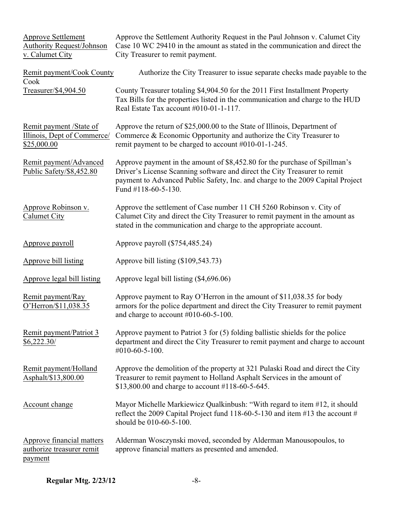| <b>Approve Settlement</b><br><b>Authority Request/Johnson</b><br>v. Calumet City | Approve the Settlement Authority Request in the Paul Johnson v. Calumet City<br>Case 10 WC 29410 in the amount as stated in the communication and direct the<br>City Treasurer to remit payment.                                                                 |
|----------------------------------------------------------------------------------|------------------------------------------------------------------------------------------------------------------------------------------------------------------------------------------------------------------------------------------------------------------|
| Remit payment/Cook County<br>Cook                                                | Authorize the City Treasurer to issue separate checks made payable to the                                                                                                                                                                                        |
| Treasurer/\$4,904.50                                                             | County Treasurer totaling \$4,904.50 for the 2011 First Installment Property<br>Tax Bills for the properties listed in the communication and charge to the HUD<br>Real Estate Tax account #010-01-1-117.                                                         |
| Remit payment /State of<br>Illinois, Dept of Commerce/<br>\$25,000.00            | Approve the return of \$25,000.00 to the State of Illinois, Department of<br>Commerce & Economic Opportunity and authorize the City Treasurer to<br>remit payment to be charged to account #010-01-1-245.                                                        |
| Remit payment/Advanced<br>Public Safety/\$8,452.80                               | Approve payment in the amount of \$8,452.80 for the purchase of Spillman's<br>Driver's License Scanning software and direct the City Treasurer to remit<br>payment to Advanced Public Safety, Inc. and charge to the 2009 Capital Project<br>Fund #118-60-5-130. |
| Approve Robinson v.<br><b>Calumet City</b>                                       | Approve the settlement of Case number 11 CH 5260 Robinson v. City of<br>Calumet City and direct the City Treasurer to remit payment in the amount as<br>stated in the communication and charge to the appropriate account.                                       |
| Approve payroll                                                                  | Approve payroll (\$754,485.24)                                                                                                                                                                                                                                   |
| Approve bill listing                                                             | Approve bill listing (\$109,543.73)                                                                                                                                                                                                                              |
| Approve legal bill listing                                                       | Approve legal bill listing (\$4,696.06)                                                                                                                                                                                                                          |
| Remit payment/Ray<br>O'Herron/\$11,038.35                                        | Approve payment to Ray O'Herron in the amount of \$11,038.35 for body<br>armors for the police department and direct the City Treasurer to remit payment<br>and charge to account $\#010-60-5-100$ .                                                             |
| Remit payment/Patriot 3<br>\$6,222.30/                                           | Approve payment to Patriot $3$ for $(5)$ folding ballistic shields for the police<br>department and direct the City Treasurer to remit payment and charge to account<br>$\#010 - 60 - 5 - 100.$                                                                  |
| Remit payment/Holland<br>Asphalt/\$13,800.00                                     | Approve the demolition of the property at 321 Pulaski Road and direct the City<br>Treasurer to remit payment to Holland Asphalt Services in the amount of<br>\$13,800.00 and charge to account #118-60-5-645.                                                    |
| Account change                                                                   | Mayor Michelle Markiewicz Qualkinbush: "With regard to item #12, it should<br>reflect the 2009 Capital Project fund 118-60-5-130 and item #13 the account #<br>should be 010-60-5-100.                                                                           |
| Approve financial matters<br>authorize treasurer remit<br>payment                | Alderman Wosczynski moved, seconded by Alderman Manousopoulos, to<br>approve financial matters as presented and amended.                                                                                                                                         |